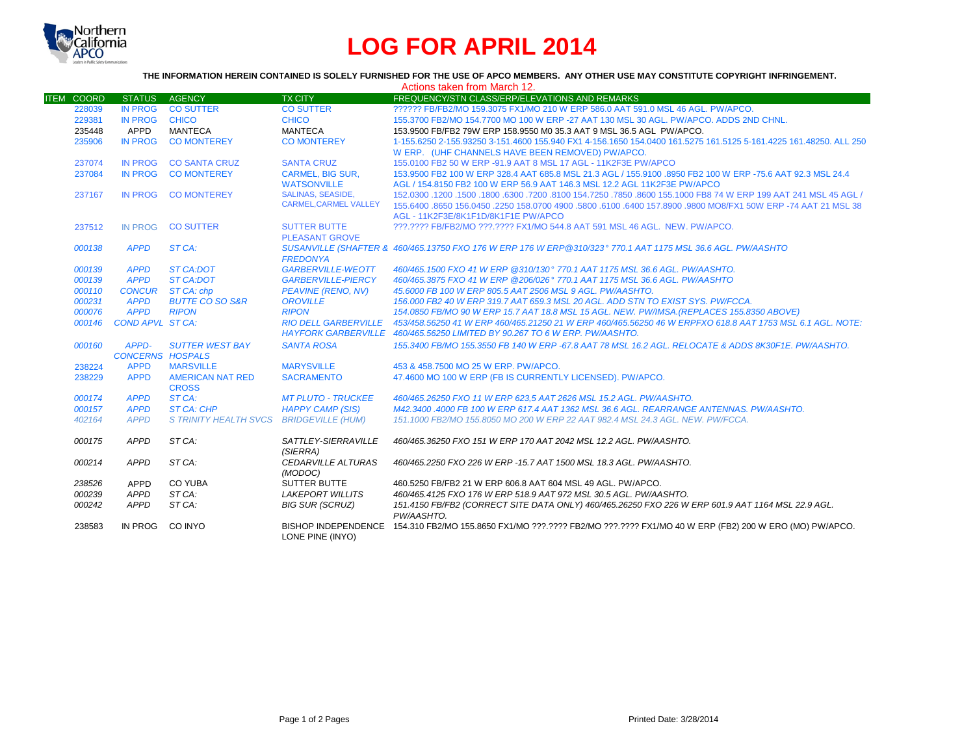

## **LOG FOR APRIL 2014**

## **THE INFORMATION HEREIN CONTAINED IS SOLELY FURNISHED FOR THE USE OF APCO MEMBERS. ANY OTHER USE MAY CONSTITUTE COPYRIGHT INFRINGEMENT.**

|                   |                                  |                                            |                                                | Actions taken from March 12.                                                                                                                                                |
|-------------------|----------------------------------|--------------------------------------------|------------------------------------------------|-----------------------------------------------------------------------------------------------------------------------------------------------------------------------------|
| <b>ITEM COORD</b> | <b>STATUS</b>                    | AGENCY                                     | <b>TX CITY</b>                                 | FREQUENCY/STN CLASS/ERP/ELEVATIONS AND REMARKS                                                                                                                              |
| 228039            | <b>IN PROG</b>                   | <b>CO SUTTER</b>                           | <b>CO SUTTER</b>                               | ?????? FB/FB2/MO 159.3075 FX1/MO 210 W ERP 586.0 AAT 591.0 MSL 46 AGL. PW/APCO.                                                                                             |
| 229381            | <b>IN PROG</b>                   | <b>CHICO</b>                               | <b>CHICO</b>                                   | 155.3700 FB2/MO 154.7700 MO 100 W ERP -27 AAT 130 MSL 30 AGL. PW/APCO, ADDS 2ND CHNL.                                                                                       |
| 235448            | APPD                             | <b>MANTECA</b>                             | <b>MANTECA</b>                                 | 153,9500 FB/FB2 79W ERP 158,9550 M0 35.3 AAT 9 MSL 36.5 AGL PW/APCO.                                                                                                        |
| 235906            | <b>IN PROG</b>                   | <b>CO MONTEREY</b>                         | <b>CO MONTEREY</b>                             | 1-155.6250 2-155.93250 3-151.4600 155.940 FX1 4-156.1650 154.0400 161.5275 161.5125 5-161.4225 161.48250. ALL 250                                                           |
|                   |                                  |                                            |                                                | W ERP. (UHF CHANNELS HAVE BEEN REMOVED) PW/APCO.                                                                                                                            |
| 237074            | <b>IN PROG</b>                   | <b>CO SANTA CRUZ</b>                       | <b>SANTA CRUZ</b>                              | 155.0100 FB2 50 W ERP -91.9 AAT 8 MSL 17 AGL - 11K2F3E PW/APCO                                                                                                              |
| 237084            | <b>IN PROG</b>                   | <b>CO MONTEREY</b>                         | <b>CARMEL, BIG SUR,</b>                        | 153,9500 FB2 100 W ERP 328.4 AAT 685.8 MSL 21.3 AGL / 155,9100 .8950 FB2 100 W ERP -75.6 AAT 92.3 MSL 24.4                                                                  |
|                   |                                  |                                            | <b>WATSONVILLE</b>                             | AGL / 154.8150 FB2 100 W ERP 56.9 AAT 146.3 MSL 12.2 AGL 11K2F3E PW/APCO                                                                                                    |
| 237167            | <b>IN PROG</b>                   | <b>CO MONTEREY</b>                         | <b>SALINAS, SEASIDE,</b>                       | 152.0300 .1200 .1500 .1800 .6300 .7200 .8100 154.7250 .7850 .8600 155.1000 FB8 74 W ERP 199 AAT 241 MSL 45 AGL /                                                            |
|                   |                                  |                                            | <b>CARMEL, CARMEL VALLEY</b>                   | 155.6400 .8650 156.0450 .2250 158.0700 4900 .5800 .6100 .6400 157.8900 .9800 MO8/FX1 50W ERP -74 AAT 21 MSL 38                                                              |
|                   |                                  |                                            |                                                | AGL - 11K2F3E/8K1F1D/8K1F1E PW/APCO                                                                                                                                         |
| 237512            | <b>IN PROG</b>                   | <b>CO SUTTER</b>                           | <b>SUTTER BUTTE</b>                            | ???.???? FB/FB2/MO ???.???? FX1/MO 544.8 AAT 591 MSL 46 AGL. NEW. PW/APCO.                                                                                                  |
|                   |                                  |                                            | <b>PLEASANT GROVE</b>                          |                                                                                                                                                                             |
| 000138            | <b>APPD</b>                      | ST CA:                                     |                                                | SUSANVILLE (SHAFTER & 460/465.13750 FXO 176 W ERP 176 W ERP@310/323° 770.1 AAT 1175 MSL 36.6 AGL. PW/AASHTO                                                                 |
|                   |                                  |                                            | <b>FREDONYA</b>                                |                                                                                                                                                                             |
| 000139            | <b>APPD</b>                      | <b>ST CA:DOT</b>                           | <b>GARBERVILLE-WEOTT</b>                       | 460/465.1500 FXO 41 W ERP @310/130° 770.1 AAT 1175 MSL 36.6 AGL. PW/AASHTO.                                                                                                 |
| 000139            | <b>APPD</b>                      | ST CA:DOT                                  | <b>GARBERVILLE-PIERCY</b>                      | 460/465.3875 FXO 41 W ERP @206/026° 770.1 AAT 1175 MSL 36.6 AGL, PW/AASHTO                                                                                                  |
| 000110            | <b>CONCUR</b>                    | ST CA: chp                                 | <b>PEAVINE (RENO, NV)</b>                      | 45,6000 FB 100 W ERP 805.5 AAT 2506 MSL 9 AGL. PW/AASHTO.                                                                                                                   |
| 000231<br>000076  | <b>APPD</b><br><b>APPD</b>       | <b>BUTTE CO SO S&amp;R</b><br><b>RIPON</b> | <b>OROVILLE</b><br><b>RIPON</b>                | 156,000 FB2 40 W ERP 319.7 AAT 659.3 MSL 20 AGL, ADD STN TO EXIST SYS, PW/FCCA.<br>154.0850 FB/MO 90 W ERP 15.7 AAT 18.8 MSL 15 AGL. NEW. PW/IMSA.(REPLACES 155.8350 ABOVE) |
| 000146            | <b>COND APVL ST CA:</b>          |                                            | <b>RIO DELL GARBERVILLE</b>                    | 453/458.56250 41 W ERP 460/465.21250 21 W ERP 460/465.56250 46 W ERPFXO 618.8 AAT 1753 MSL 6.1 AGL. NOTE:                                                                   |
|                   |                                  |                                            |                                                | HAYFORK GARBERVILLE 460/465.56250 LIMITED BY 90.267 TO 6 W ERP. PW/AASHTO.                                                                                                  |
|                   |                                  |                                            | <b>SANTA ROSA</b>                              |                                                                                                                                                                             |
| 000160            | APPD-<br><b>CONCERNS HOSPALS</b> | <b>SUTTER WEST BAY</b>                     |                                                | 155.3400 FB/MO 155.3550 FB 140 W ERP -67.8 AAT 78 MSL 16.2 AGL. RELOCATE & ADDS 8K30F1E. PW/AASHTO.                                                                         |
| 238224            | <b>APPD</b>                      | <b>MARSVILLE</b>                           | <b>MARYSVILLE</b>                              | 453 & 458,7500 MO 25 W ERP. PW/APCO.                                                                                                                                        |
| 238229            | <b>APPD</b>                      | <b>AMERICAN NAT RED</b>                    | <b>SACRAMENTO</b>                              | 47.4600 MO 100 W ERP (FB IS CURRENTLY LICENSED). PW/APCO.                                                                                                                   |
|                   |                                  | <b>CROSS</b>                               |                                                |                                                                                                                                                                             |
| 000174            | <b>APPD</b>                      | ST CA:                                     | <b>MT PLUTO - TRUCKEE</b>                      | 460/465.26250 FXO 11 W ERP 623,5 AAT 2626 MSL 15.2 AGL. PW/AASHTO.                                                                                                          |
| 000157            | <b>APPD</b>                      | <b>ST CA: CHP</b>                          | <b>HAPPY CAMP (SIS)</b>                        | M42.3400.4000 FB 100 W ERP 617.4 AAT 1362 MSL 36.6 AGL, REARRANGE ANTENNAS, PW/AASHTO,                                                                                      |
| 402164            | <b>APPD</b>                      | S TRINITY HEALTH SVCS BRIDGEVILLE (HUM)    |                                                | 151.1000 FB2/MO 155.8050 MO 200 W ERP 22 AAT 982.4 MSL 24.3 AGL, NEW, PW/FCCA,                                                                                              |
|                   |                                  |                                            |                                                |                                                                                                                                                                             |
| 000175            | APPD                             | ST CA:                                     | SATTLEY-SIERRAVILLE                            | 460/465.36250 FXO 151 W ERP 170 AAT 2042 MSL 12.2 AGL, PW/AASHTO.                                                                                                           |
|                   |                                  |                                            | (SIERRA)                                       |                                                                                                                                                                             |
| 000214            | APPD                             | ST CA:                                     | CEDARVILLE ALTURAS                             | 460/465.2250 FXO 226 W ERP -15.7 AAT 1500 MSL 18.3 AGL. PW/AASHTO.                                                                                                          |
|                   |                                  |                                            | (MODOC)                                        |                                                                                                                                                                             |
| 238526            | APPD                             | <b>CO YUBA</b>                             | <b>SUTTER BUTTE</b>                            | 460.5250 FB/FB2 21 W ERP 606.8 AAT 604 MSL 49 AGL, PW/APCO.                                                                                                                 |
| 000239            | APPD                             | ST CA:                                     | <b>LAKEPORT WILLITS</b>                        | 460/465.4125 FXO 176 W ERP 518.9 AAT 972 MSL 30.5 AGL. PW/AASHTO.                                                                                                           |
| 000242            | APPD                             | ST CA:                                     | <b>BIG SUR (SCRUZ)</b>                         | 151.4150 FB/FB2 (CORRECT SITE DATA ONLY) 460/465.26250 FXO 226 W ERP 601.9 AAT 1164 MSL 22.9 AGL.                                                                           |
|                   |                                  |                                            |                                                | PW/AASHTO.                                                                                                                                                                  |
| 238583            | IN PROG                          | CO INYO                                    | <b>BISHOP INDEPENDENCE</b><br>LONE PINE (INYO) | 154.310 FB2/MO 155.8650 FX1/MO ???.???? FB2/MO ???.???? FX1/MO 40 W ERP (FB2) 200 W ERO (MO) PW/APCO.                                                                       |